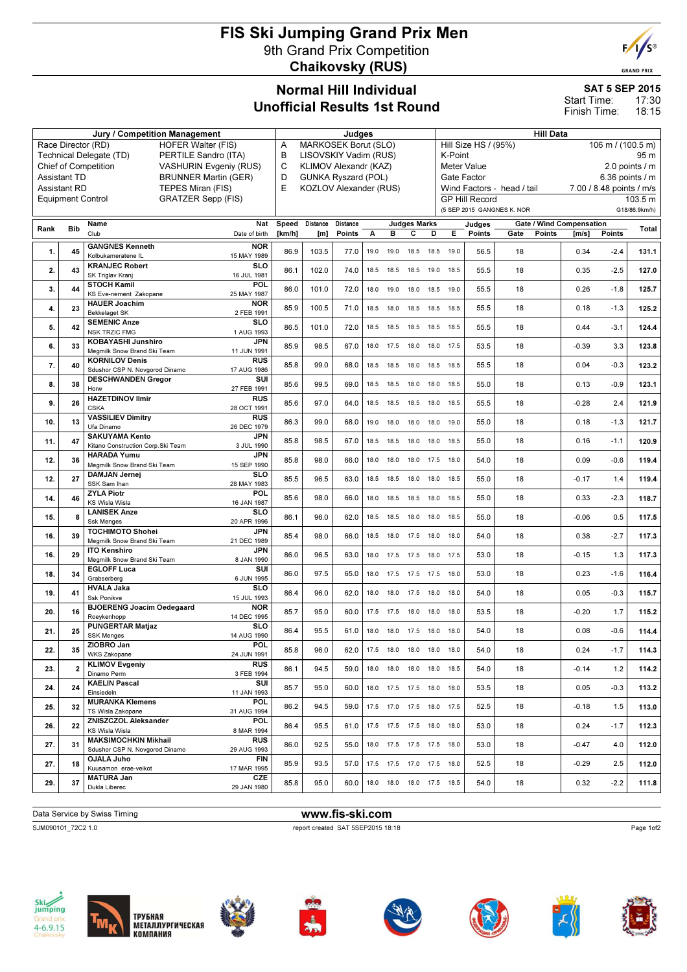## FIS Ski Jumping Grand Prix Men 9th Grand Prix Competition Chaikovsky (RUS)



|                                                       |                     | Jury / Competition Management                                 | Judges                    |        |                                 |          |           |                |                              | <b>Hill Data</b> |      |                                           |                            |                                 |                          |                              |  |  |
|-------------------------------------------------------|---------------------|---------------------------------------------------------------|---------------------------|--------|---------------------------------|----------|-----------|----------------|------------------------------|------------------|------|-------------------------------------------|----------------------------|---------------------------------|--------------------------|------------------------------|--|--|
| Race Director (RD)<br><b>HOFER Walter (FIS)</b>       |                     |                                                               |                           |        | MARKOSEK Borut (SLO)<br>Α       |          |           |                |                              |                  |      | Hill Size HS / (95%)<br>106 m / (100.5 m) |                            |                                 |                          |                              |  |  |
| Technical Delegate (TD)<br>PERTILE Sandro (ITA)       |                     |                                                               |                           |        | LISOVSKIY Vadim (RUS)<br>в      |          |           |                |                              |                  |      | K-Point<br>95 m                           |                            |                                 |                          |                              |  |  |
| Chief of Competition<br><b>VASHURIN Evgeniy (RUS)</b> |                     |                                                               |                           |        | C<br>KLIMOV Alexandr (KAZ)      |          |           |                |                              |                  |      | Meter Value<br>2.0 points $\sqrt{}$ m     |                            |                                 |                          |                              |  |  |
| <b>BRUNNER Martin (GER)</b><br><b>Assistant TD</b>    |                     |                                                               |                           |        | D<br><b>GUNKA Ryszard (POL)</b> |          |           |                |                              |                  |      | Gate Factor                               |                            |                                 | 6.36 points $/$ m        |                              |  |  |
|                                                       | <b>Assistant RD</b> | <b>TEPES Miran (FIS)</b>                                      |                           | E      | KOZLOV Alexander (RUS)          |          |           |                |                              |                  |      |                                           | Wind Factors - head / tail |                                 | 7.00 / 8.48 points / m/s |                              |  |  |
|                                                       |                     | <b>GRATZER Sepp (FIS)</b><br><b>Equipment Control</b>         |                           |        |                                 |          |           |                |                              |                  |      | <b>GP Hill Record</b>                     |                            |                                 |                          | $\overline{10}3.5 \text{ m}$ |  |  |
|                                                       |                     |                                                               |                           |        |                                 |          |           |                |                              |                  |      |                                           | (5 SEP 2015 GANGNES K. NOR |                                 |                          | G18/86.9km/h)                |  |  |
| Rank                                                  | <b>Bib</b>          | Name                                                          | Nat                       | Speed  | Distance                        | Distance |           |                | <b>Judges Marks</b>          |                  |      | Judges                                    |                            | <b>Gate / Wind Compensation</b> |                          | Total                        |  |  |
|                                                       |                     | Club                                                          | Date of birth             | [km/h] | [m]                             | Points   | А         | в              | С                            | D                | Е    | Points                                    | Gate                       | Points<br>$\mathsf{Im/s}$       | Points                   |                              |  |  |
| 1.                                                    | 45                  | <b>GANGNES Kenneth</b>                                        | <b>NOR</b>                | 86.9   | 103.5                           | 77.0     | 19.0      | 19.0           | 18.5                         | 18.5             | 19.0 | 56.5                                      | 18                         | 0.34                            | $-2.4$                   | 131.1                        |  |  |
|                                                       |                     | Kolbukameratene IL                                            | 15 MAY 1989               |        |                                 |          |           |                |                              |                  |      |                                           |                            |                                 |                          |                              |  |  |
| 2.                                                    | 43                  | <b>KRANJEC Robert</b>                                         | SLO                       | 86.1   | 102.0                           | 74.0     | 18.5      | 18.5           | 18.5                         | 19.0             | 18.5 | 55.5                                      | 18                         | 0.35                            | $-2.5$                   | 127.0                        |  |  |
|                                                       |                     | SK Triglav Kranj<br><b>STOCH Kamil</b>                        | 16 JUL 1981<br>POL        |        |                                 |          |           |                |                              |                  |      |                                           |                            |                                 |                          |                              |  |  |
| 3.                                                    | 44                  | KS Eve-nement Zakopane                                        | 25 MAY 1987               | 86.0   | 101.0                           | 72.0     |           | 18.0 19.0      | 18.0 18.5 19.0               |                  |      | 55.5                                      | 18                         | 0.26                            | $-1.8$                   | 125.7                        |  |  |
|                                                       | 23                  | <b>HAUER Joachim</b>                                          | <b>NOR</b>                | 85.9   | 100.5                           |          |           | 18.0           |                              |                  |      | 55.5                                      | 18                         | 0.18                            | $-1.3$                   |                              |  |  |
| 4.                                                    |                     | Bekkelaget SK                                                 | 2 FEB 1991                |        |                                 | 71.0     | 18.5      |                | 18.5                         | 18.5             | 18.5 |                                           |                            |                                 |                          | 125.2                        |  |  |
| 5.                                                    | 42                  | <b>SEMENIC Anze</b><br><b>NSK TRZIC FMG</b>                   | <b>SLO</b><br>1 AUG 1993  | 86.5   | 101.0                           | 72.0     | 18.5      | 18.5           | 18.5                         | 18.5             | 18.5 | 55.5                                      | 18                         | 0.44                            | $-3.1$                   | 124.4                        |  |  |
|                                                       |                     | <b>KOBAYASHI Junshiro</b>                                     | JPN                       |        |                                 |          |           |                |                              |                  |      |                                           |                            |                                 |                          |                              |  |  |
| 6.                                                    | 33                  | Megmilk Snow Brand Ski Team                                   | 11 JUN 1991               | 85.9   | 98.5                            | 67.0     |           | 18.0 17.5 18.0 |                              | 18.0 17.5        |      | 53.5                                      | 18                         | $-0.39$                         | 3.3                      | 123.8                        |  |  |
| 7.                                                    | 40                  | <b>KORNILOV Denis</b>                                         | <b>RUS</b>                | 85.8   | 99.0                            | 68.0     |           | 18.5 18.5      | 18.0                         | 18.5 18.5        |      | 55.5                                      | 18                         | 0.04                            | $-0.3$                   | 123.2                        |  |  |
|                                                       |                     | Sdushor CSP N. Novgorod Dinamo                                | 17 AUG 1986               |        |                                 |          |           |                |                              |                  |      |                                           |                            |                                 |                          |                              |  |  |
| 8.                                                    | 38                  | <b>DESCHWANDEN Gregor</b><br>Horw                             | SUI<br>27 FEB 1991        | 85.6   | 99.5                            | 69.0     |           | 18.5 18.5      | 18.0                         | 18.0             | 18.5 | 55.0                                      | 18                         | 0.13                            | $-0.9$                   | 123.1                        |  |  |
|                                                       |                     | <b>HAZETDINOV Ilmir</b>                                       | <b>RUS</b>                |        |                                 |          |           |                |                              |                  |      |                                           |                            |                                 |                          |                              |  |  |
| 9.                                                    | 26                  | <b>CSKA</b>                                                   | 28 OCT 1991               | 85.6   | 97.0                            | 64.0     |           | 18.5 18.5      | 18.5                         | 18.0             | 18.5 | 55.5                                      | 18                         | $-0.28$                         | 2.4                      | 121.9                        |  |  |
| 10.                                                   | 13                  | <b>VASSILIEV Dimitry</b>                                      | <b>RUS</b>                | 86.3   | 99.0                            | 68.0     | 19.0      | 18.0           | 18.0                         | 18.0             | 19.0 | 55.0                                      | 18                         | 0.18                            | $-1.3$                   | 121.7                        |  |  |
|                                                       |                     | Ufa Dinamo                                                    | 26 DEC 1979               |        |                                 |          |           |                |                              |                  |      |                                           |                            |                                 |                          |                              |  |  |
| 11.                                                   | 47                  | <b>SAKUYAMA Kento</b><br>Kitano Construction Corp. Ski Team   | <b>JPN</b><br>3 JUL 1990  | 85.8   | 98.5                            | 67.0     |           |                | 18.5 18.5 18.0               | 18.0 18.5        |      | 55.0                                      | 18                         | 0.16                            | $-1.1$                   | 120.9                        |  |  |
|                                                       |                     | <b>HARADA Yumu</b>                                            | <b>JPN</b>                |        |                                 |          |           |                |                              |                  |      |                                           |                            |                                 |                          |                              |  |  |
| 12.                                                   | 36                  | Megmilk Snow Brand Ski Team                                   | 15 SEP 1990               | 85.8   | 98.0                            | 66.0     | 18.0      | 18.0           | 18.0                         | 17.5             | 18.0 | 54.0                                      | 18                         | 0.09                            | $-0.6$                   | 119.4                        |  |  |
| 12.                                                   | 27                  | <b>DAMJAN Jernej</b>                                          | <b>SLO</b>                | 85.5   | 96.5                            | 63.0     | 18.5 18.5 |                | 18.0                         | 18.0             | 18.5 | 55.0                                      | 18                         | $-0.17$                         | 1.4                      | 119.4                        |  |  |
|                                                       |                     | SSK Sam Ihan<br><b>ZYLA Piotr</b>                             | 28 MAY 1983<br>POL        |        |                                 |          |           |                |                              |                  |      |                                           |                            |                                 |                          |                              |  |  |
| 14.                                                   | 46                  | <b>KS Wisla Wisla</b>                                         | 16 JAN 1987               | 85.6   | 98.0                            | 66.0     |           |                | 18.0 18.5 18.5               | 18.0             | 18.5 | 55.0                                      | 18                         | 0.33                            | $-2.3$                   | 118.7                        |  |  |
| 15.                                                   | 8                   | <b>LANISEK Anze</b>                                           | SLO                       | 86.1   | 96.0                            | 62.0     |           | 18.5 18.5      | 18.0                         | 18.0             | 18.5 | 55.0                                      | 18                         | $-0.06$                         | 0.5                      |                              |  |  |
|                                                       |                     | <b>Ssk Menges</b>                                             | 20 APR 1996               |        |                                 |          |           |                |                              |                  |      |                                           |                            |                                 |                          | 117.5                        |  |  |
| 16.                                                   | 39                  | <b>TOCHIMOTO Shohei</b><br>Megmilk Snow Brand Ski Team        | <b>JPN</b><br>21 DEC 1989 | 85.4   | 98.0                            | 66.0     |           | 18.5 18.0      | 17.5                         | 18.0             | 18.0 | 54.0                                      | 18                         | 0.38                            | $-2.7$                   | 117.3                        |  |  |
|                                                       |                     | <b>ITO Kenshiro</b>                                           | <b>JPN</b>                |        |                                 |          |           |                |                              |                  |      |                                           |                            |                                 |                          |                              |  |  |
| 16.                                                   | 29                  | Megmilk Snow Brand Ski Team                                   | 8 JAN 1990                | 86.0   | 96.5                            | 63.0     | 18.0      | 17.5           | 17.5                         | 18.0             | 17.5 | 53.0                                      | 18                         | $-0.15$                         | 1.3                      | 117.3                        |  |  |
| 18.                                                   | 34                  | <b>EGLOFF Luca</b>                                            | SUI                       | 86.0   | 97.5                            | 65.0     |           |                | 18.0 17.5 17.5 17.5 18.0     |                  |      | 53.0                                      | 18                         | 0.23                            | $-1.6$                   | 116.4                        |  |  |
|                                                       |                     | Grabserberg                                                   | 6 JUN 1995                |        |                                 |          |           |                |                              |                  |      |                                           |                            |                                 |                          |                              |  |  |
| 19.                                                   | 41                  | <b>HVALA Jaka</b><br><b>Ssk Ponikve</b>                       | SLO<br>15 JUL 1993        | 86.4   | 96.0                            | 62.0     |           | 18.0 18.0      | 17.5 18.0 18.0               |                  |      | 54.0                                      | 18                         | 0.05                            | $-0.3$                   | 115.7                        |  |  |
|                                                       |                     | <b>BJOERENG Joacim Oedegaard</b>                              | <b>NOR</b>                |        |                                 |          |           |                |                              |                  |      |                                           |                            |                                 |                          |                              |  |  |
| 20.                                                   | 16                  | Roeykenhopp                                                   | 14 DEC 1995               | 85.7   | 95.0                            | 60.0     | 17.5      | 17.5           | 18.0                         | 18.0             | 18.0 | 53.5                                      | 18                         | $-0.20$                         | 1.7                      | 115.2                        |  |  |
| 21.                                                   | 25                  | <b>PUNGERTAR Matjaz</b>                                       | SLO                       | 86.4   | 95.5                            | 61.0     |           |                | 18.0 18.0 17.5 18.0          |                  | 18.0 | 54.0                                      | 18                         | 0.08                            | $-0.6$                   | 114.4                        |  |  |
|                                                       |                     | <b>SSK Menges</b>                                             | 14 AUG 1990<br><b>POL</b> |        |                                 |          |           |                |                              |                  |      |                                           |                            |                                 |                          |                              |  |  |
| 22.                                                   | 35                  | ZIOBRO Jan<br><b>WKS Zakopane</b>                             | 24 JUN 1991               | 85.8   | 96.0                            | 62.0     |           |                | 17.5 18.0 18.0 18.0 18.0     |                  |      | 54.0                                      | 18                         | 0.24                            | $-1.7$                   | 114.3                        |  |  |
|                                                       |                     | <b>KLIMOV Evgeniy</b>                                         | <b>RUS</b>                |        |                                 |          |           |                |                              |                  |      |                                           |                            |                                 |                          |                              |  |  |
| 23.                                                   | $\overline{2}$      | Dinamo Perm                                                   | 3 FEB 1994                | 86.1   | 94.5                            | 59.0     |           |                | 18.0 18.0 18.0 18.0 18.5     |                  |      | 54.0                                      | 18                         | $-0.14$                         | 1.2                      | 114.2                        |  |  |
| 24.                                                   | 24                  | <b>KAELIN Pascal</b>                                          | SUI                       | 85.7   | 95.0                            | 60.0     |           |                | 18.0  17.5  17.5  18.0  18.0 |                  |      | 53.5                                      | 18                         | 0.05                            | $-0.3$                   | 113.2                        |  |  |
|                                                       |                     | Einsiedeln<br><b>MURANKA Klemens</b>                          | 11 JAN 1993<br><b>POL</b> |        |                                 |          |           |                |                              |                  |      |                                           |                            |                                 |                          |                              |  |  |
| 25.                                                   | 32                  | TS Wisla Zakopane                                             | 31 AUG 1994               | 86.2   | 94.5                            | 59.0     |           |                | 17.5 17.0 17.5 18.0 17.5     |                  |      | 52.5                                      | 18                         | $-0.18$                         | 1.5                      | 113.0                        |  |  |
| 26.                                                   | 22                  | ZNISZCZOL Aleksander                                          | <b>POL</b>                | 86.4   | 95.5                            | 61.0     |           |                | 17.5 17.5 17.5 18.0 18.0     |                  |      | 53.0                                      | 18                         | 0.24                            | $-1.7$                   | 112.3                        |  |  |
|                                                       |                     | KS Wisla Wisla                                                | 8 MAR 1994                |        |                                 |          |           |                |                              |                  |      |                                           |                            |                                 |                          |                              |  |  |
| 27.                                                   | 31                  | <b>MAKSIMOCHKIN Mikhail</b><br>Sdushor CSP N. Novgorod Dinamo | <b>RUS</b><br>29 AUG 1993 | 86.0   | 92.5                            | 55.0     |           |                | 18.0 17.5 17.5 17.5 18.0     |                  |      | 53.0                                      | 18                         | $-0.47$                         | 4.0                      | 112.0                        |  |  |
|                                                       |                     | <b>OJALA Juho</b>                                             | FIN                       |        |                                 |          |           |                |                              |                  |      |                                           |                            |                                 |                          |                              |  |  |
| 27.                                                   | 18                  | Kuusamon erae-veikot                                          | 17 MAR 1995               | 85.9   | 93.5                            | 57.0     |           |                | 17.5 17.5 17.0 17.5 18.0     |                  |      | 52.5                                      | 18                         | $-0.29$                         | 2.5                      | 112.0                        |  |  |
| 29.                                                   | 37                  | <b>MATURA Jan</b>                                             | CZE                       | 85.8   | 95.0                            | 60.0     |           |                | 18.0 18.0 18.0 17.5 18.5     |                  |      | 54.0                                      | 18                         | 0.32                            | $-2.2$                   | 111.8                        |  |  |
|                                                       |                     | Dukla Liberec                                                 | 29 JAN 1980               |        |                                 |          |           |                |                              |                  |      |                                           |                            |                                 |                          |                              |  |  |
|                                                       |                     |                                                               |                           |        |                                 |          |           |                |                              |                  |      |                                           |                            |                                 |                          |                              |  |  |

Data Service by Swiss Timing **www.fis-ski.com** 

SJM090101\_72C2 1.0 report created SAT 5SEP2015 18:18





















**GRAND PRIX** 

17:30 18:15

SAT 5 SEP 2015

Start Time: Finish Time: